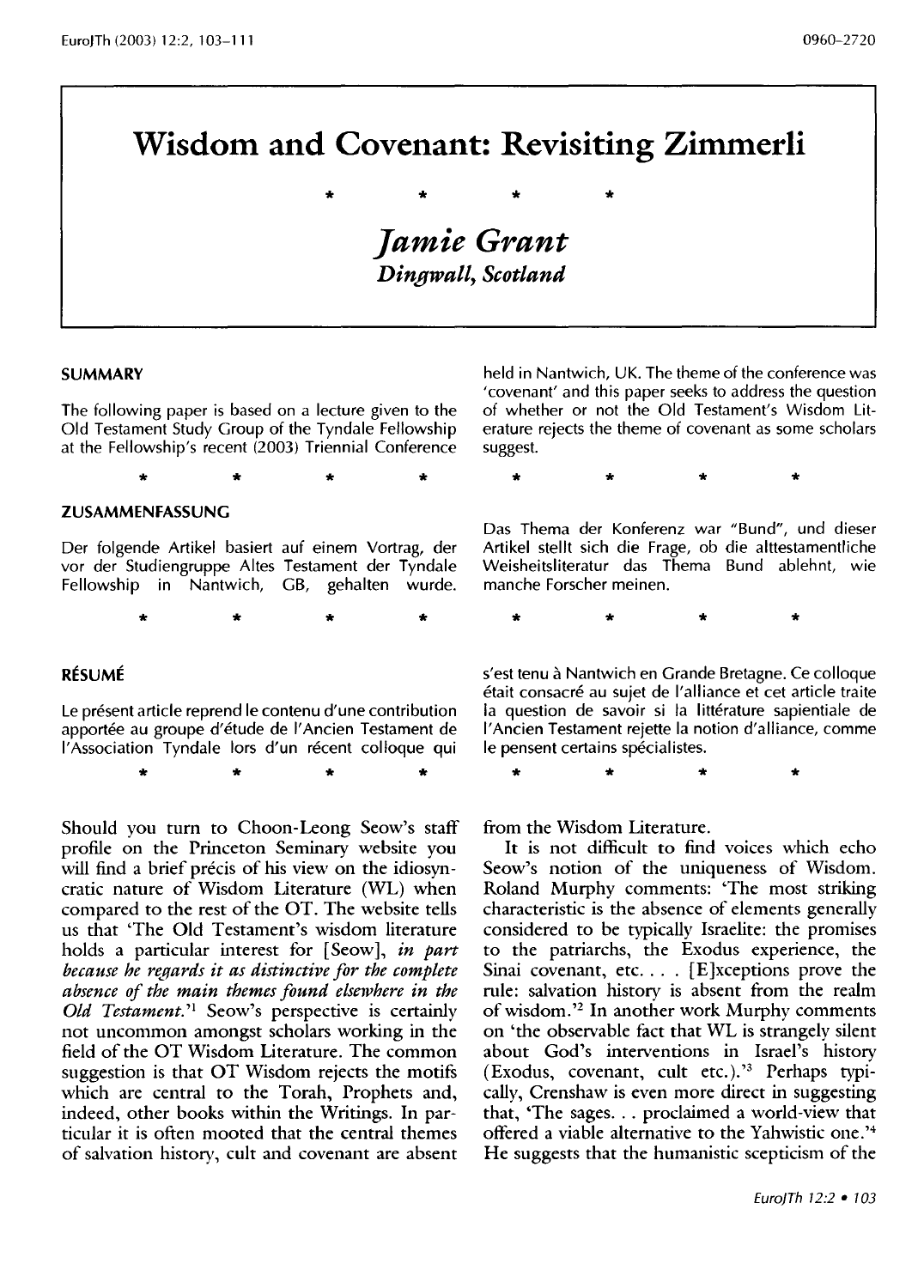# **Wisdom and Covenant: Revisiting Zimmerli**

\* \* \* \* *Jamie Grant Dingwall, Scotland* 

#### **SUMMARY**

The following paper is based on a lecture given to the Old Testament Study Group of the Tyndale Fellowship at the Fellowship's recent (2003) Triennial Conference

\* \* \* \*

**ZUSAMMENFASSUNG** 

Der folgende Artikel basiert auf einem Vortrag, der vor der Studiengruppe Altes Testament der Tyndale Fellowship in Nantwich, GB, gehalten wurde.

\* \* \* \*

#### **RESUME**

Le présent article reprend le contenu d'une contribution apportée au groupe d'étude de l'Ancien Testament de l'Association Tyndale lors d'un récent colloque qui

\* \* \* \*

Should you turn to Choon-Leong Seow's staff profile on the Princeton Seminary website you will find a brief précis of his view on the idiosyncratic nature of Wisdom literature (WL) when compared to the rest of the OT. The website tells us that 'The Old Testament's wisdom literature holds a particular interest for [Seow], *in part because he regards it as distinctive for the complete absence of the main themes found elsewhere in the Old Testament.'1* Seow's perspective is certainly not uncommon amongst scholars working in the field of the OT Wisdom Literature. The common suggestion is that OT Wisdom rejects the motifs which are central to the Torah, Prophets and, indeed, other books within the Writings. In particular it is often mooted that the central themes of salvation history, cult and covenant are absent

held in Nantwich, UK. The theme of the conference was 'covenant' and this paper seeks to address the question of whether or not the Old Testament's Wisdom literature rejects the theme of covenant as some scholars suggest.

\* \* \* \*

\* \* \* \*

Das Thema der Konferenz war "Bund", und dieser Artikel stellt sich die Frage, ob die alttestamentliche Weisheitsliteratur das Thema Bund ablehnt, wie manche Forscher meinen.

s'est tenu à Nantwich en Grande Bretagne. Ce colloque etait consacre au sujet de I'alliance et cet article traite la question de savoir si la littérature sapientiale de I' Ancien Testament rejette la notion d'alliance, comme le pensent certains spécialistes.

\* \* \* \*

from the Wisdom Literature.

It is not difficult to find voices which echo Seow's notion of the uniqueness of Wisdom. Roland Murphy comments: 'The most striking characteristic is the absence of elements generally considered to be typically Israelite: the promises to the patriarchs, the Exodus experience, the Sinai covenant, etc. . . . [E]xceptions prove the rule: salvation history is absent from the realm of wisdom.'2 In another work Murphy comments on 'the observable fact that WL is strangely silent about God's interventions in Israel's history (Exodus, covenant, cult etc.).'3 Perhaps typically, Crenshaw is even more direct in suggesting that, 'The sages ... proclaimed a world-view that offered a viable alternative to the Yahwistic one.'4 He suggests that the humanistic scepticism of the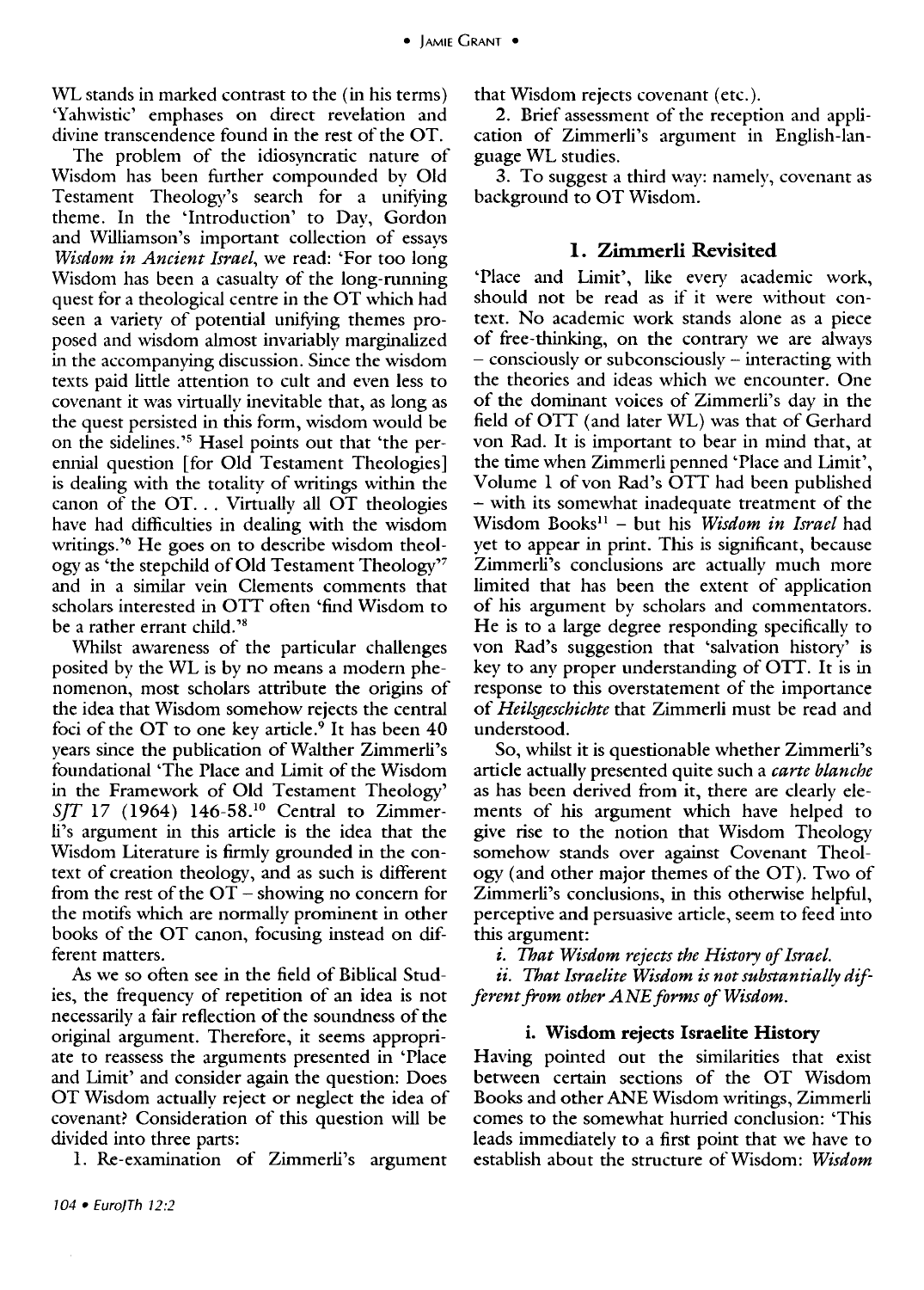WL stands in marked contrast to the (in his terms) 'Yahwistic' emphases on direct revelation and divine transcendence found in the rest of the OT.

The problem of the idiosyncratic nature of Wisdom has been further compounded by Old Testament Theology's search for a unifying theme. In the 'Introduction' to Day, Gordon and Williamson's important collection of essays *Wisdom in Ancient Israel,* we read: 'For too long Wisdom has been a casualty of the long-running quest for a theological centre in the OT which had seen a variety of potential unifying themes proposed and wisdom almost invariably marginalized in the accompanying discussion. Since the wisdom texts paid little attention to cult and even less to covenant it was virtually inevitable that, as long as the quest persisted in this form, wisdom would be on the sidelines. '5 Hasel points out that 'the perennial question [for Old Testament Theologies] is dealing with the totality of writings within the canon of the OT. . . Virtually all OT theologies have had difficulties in dealing with the wisdom writings.<sup>36</sup> He goes on to describe wisdom theology as 'tile stepchild of Old Testament Theology'7 and in a similar vein Clements comments that scholars interested in OTT often 'find Wisdom to be a rather errant child.<sup>28</sup>

Whilst awareness of the particular challenges posited by the WL is by no means a modern phenomenon, most scholars attribute the origins of the idea that Wisdom somehow rejects the central foci of the OT to one key article.<sup>9</sup> It has been  $40$ years since the publication of Walther Zimmerli's foundational 'The Place and Limit of the Wisdom in the Framework of Old Testament Theology' *SIT* 17 (1964) 146-58.10 Central to Zimmerli's argument in this article is the idea that the Wisdom Literature is firmly grounded in the context of creation theology, and as such is different from the rest of the  $\overline{OT}$  - showing no concern for the motifs which are normally prominent in other books of the OT canon, focusing instead on different matters.

As we so often see in the field of Biblical Studies, the frequency of repetition of an idea is not necessarily a fair reflection of the soundness of the original argument. Therefore, it seems appropriate to reassess the arguments presented in 'Place and Limit' and consider again the question: Does OT Wisdom actually reject or neglect the idea of covenant? Consideration of this question will be divided into three parts:

1. Re-examination of Zimmerli's argument

that Wisdom rejects covenant (etc.).

2. Brief assessment of the reception and application of Zimmerli's argument in English-language WL studies.

3. To suggest a third way: namely, covenant as background to OT Wisdom.

#### **1. Zimmerli Revisited**

'Place and Limit', like every academic work, should not be read as if it were without context. No academic work stands alone as a piece of free-thinking, on the contrary we are always - consciously or subconsciously - interacting with the theories and ideas which we encounter. One of the dominant voices of Zimmerli's day in the field of OTT (and later WL) was that of Gerhard von Rad. It is important to bear in mind that, at the time when Zimmerli penned 'Place and Limit', Volume 1 of von Rad's OTT had been published - with its somewhat inadequate treatment of the Wisdom Booksll - but his *Wisdom in Israel* had yet to appear in print. This is significant, because Zimmerli's conclusions are actually much more limited that has been the extent of application of his argument by scholars and commentators. He is to a large degree responding specifically to von Rad's suggestion that 'salvation history' is key to any proper understanding of OTT. It is in response to this overstatement of the importance of *Heilsgeschichte* that Zimmerli must be read and understood.

So, whilst it is questionable whether Zimmerli's article actually presented quite such a *carte blanche*  as has been derived from it, there are clearly elements of his argument which have helped to give rise to the notion that Wisdom Theology somehow stands over against Covenant Theology (and other major themes of the OT). Two of Zimmerli's conclusions, in this otherwise helpful, perceptive and persuasive article, seem to feed into this argument:

*i. That Wisdom rejects the History of Israel.* 

*ii. That Israelite Wisdom is not substantially different from other ANE forms of Wisdom.* 

#### **i. Wisdom rejects Israelite History**

Having pointed out the similarities that exist between certain sections of the OT Wisdom Books and other ANE Wisdom writings, Zimmerli comes to the somewhat hurried conclusion: 'This leads immediately to a first point that we have to establish about the structure of Wisdom: *Wisdom*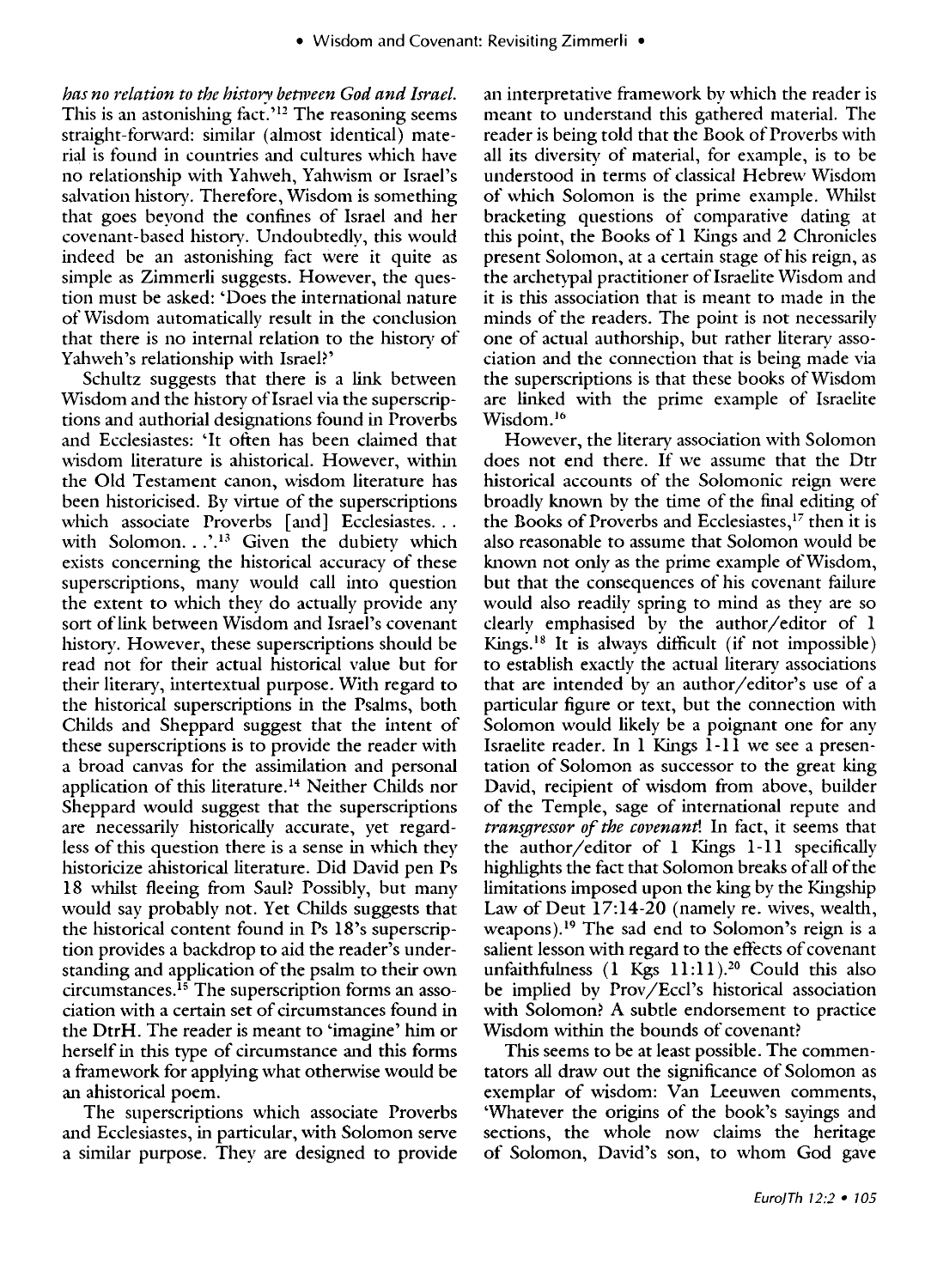*has no relation to the historv between God and Israel.*  This is an astonishing fact.<sup>'12</sup> The reasoning seems straight-forward: similar (almost identical) material is found in countries and cultures which have no relationship with Yahweh, Yahwism or Israel's salvation history. Therefore, Wisdom is something that goes beyond the confines of Israel and her covenant-based history. Undoubtedlv, this would indeed be an astonishing fact were it quite as simple as Zimmerli suggests. However, the question must be asked: 'Does the international nature of Wisdom automatically result in the conclusion that there is no internal relation to the history of Yahweh's relationship with Israel?'

Schultz suggests that there is a link between Wisdom and the history of Israel via the superscriptions and authorial designations found in Proverbs and Ecclesiastes: 'It often has been claimed that wisdom literature is ahistorical. However, within the Old Testament canon, wisdom literature has been historicised. By virtue of the superscriptions which associate Proverbs [and] Ecclesiastes... with Solomon.  $\therefore$ <sup>13</sup> Given the dubiety which exists concerning the historical accuracy of these superscriptions, many would call into question the extent to which they do actually provide any sort of link between Wisdom and Israel's covenant history. However, these superscriptions should be read not for their actual historical value but for their literary, intertextual purpose. With regard to the historical superscriptions in the Psalms, both Childs and Sheppard suggest that the intent of these superscriptions is to provide the reader with a broad canvas for the assimilation and personal application of this literature. 14 Neither Childs nor Sheppard would suggest that the superscriptions are necessarily historically accurate, yet regardless of this question there is a sense in which they historicize ahistorical literature. Did David pen Ps 18 whilst fleeing from Saul? Possibly, but many would say probably not. Yet Childs suggests that the historical content found in Ps 18's superscription provides a backdrop to aid the reader's understanding and application of the psalm to their own circumstances.<sup>15</sup> The superscription forms an association with a certain set of circumstances found in the DtrH. The reader is meant to 'imagine' him or herself in this type of circumstance and this forms a framework for applying what otherwise would be an ahistorical poem.

The superscriptions which associate Proverbs and Ecclesiastes, in particular, with Solomon serve a similar purpose. They are designed to provide

an interpretative framework by which the reader is meant to understand this gathered material. The reader is being told that the Book of Proverbs with all its diversity of material, for example, is to be understood in terms of classical Hebrew Wisdom of which Solomon is the prime example. Whilst bracketing questions of comparative dating at this point, the Books of 1 Kings and 2 Chronicles present Solomon, at a certain stage of his reign, as the archetypal practitioner of Israelite Wisdom and it is this association that is meant to made in the minds of the readers. The point is not necessarily one of actual authorship, but rather literary association and the connection that is being made via the superscriptions is that these books of Wisdom are linked with the prime example of Israelite Wisdom.<sup>16</sup>

However, the literary association with Solomon does not end there. If we assume that the Dtr historical accounts of the Solomonic reign were broadly known by the time of the final editing of the Books of Proverbs and Ecclesiastes,<sup>17</sup> then it is also reasonable to assume that Solomon would be known not only as the prime example of Wisdom, but that the consequences of his covenant failure would also readily spring to mind as they are so clearly emphasised by the author/editor of 1 Kings.<sup>18</sup> It is always difficult (if not impossible) to establish exactly the actual literary associations that are intended by an author/editor's use of a particular figure or text, but the connection with Solomon would likely be a poignant one for any Israelite reader. In 1 Kings 1-11 we see a presentation of Solomon as successor to the great king David, recipient of wisdom from above, builder of the Temple, sage of international repute and *transgressor of the covenant!* In fact, it seems that the author/editor of 1 Kings 1-11 specifically highlights the fact that Solomon breaks of all of the limitations imposed upon the king by the Kingship Law of Deut 17:14-20 (namely re. wives, wealth, weapons).19 The sad end to Solomon's reign is a salient lesson with regard to the effects of covenant unfaithfulness  $(1 \text{ Kgs } 11:11).^{20}$  Could this also be implied by Prov/Eccl's historical association with Solomon? A subtle endorsement to practice Wisdom within the bounds of covenant?

This seems to be at least possible. The commentators all draw out the significance of Solomon as exemplar of wisdom: Van Leeuwen comments, 'Whatever the origins of the book's sayings and sections, the whole now claims the heritage of Solomon, David's son, to whom God gave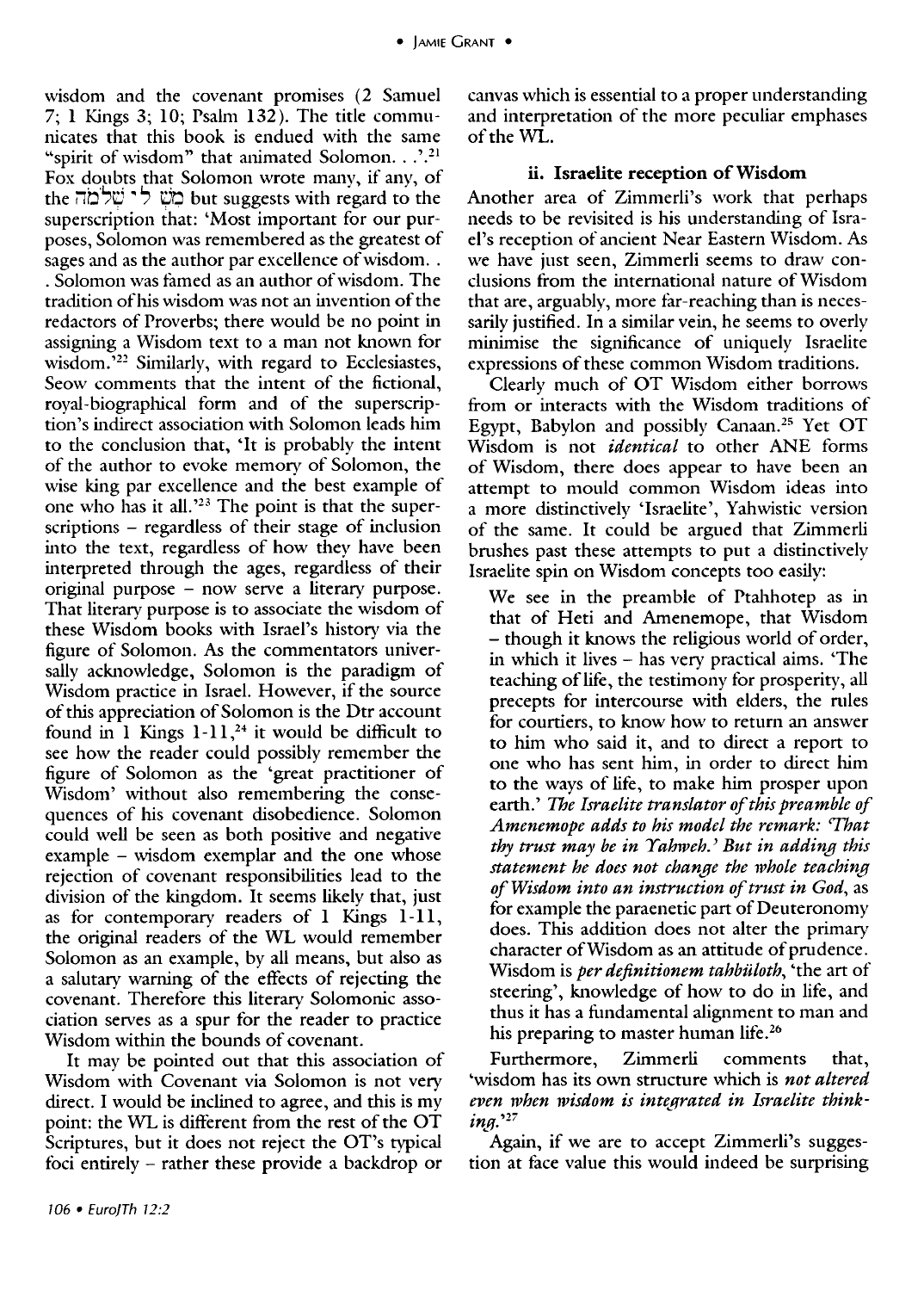7; 1 Kings 3; 10; Psalm 132). The title communicates that this book is endued with the same "spirit of wisdom" that animated Solomon...'.<sup>21</sup> Fox doubts that Solomon wrote many, if any, of the שָׁעָ לי שְׁלֹמַה but suggests with regard to the superscription that: 'Most important for our purposes, Solomon was remembered as the greatest of sages and as the author par excellence of wisdom.. . Solomon was famed as an author of wisdom. The tradition of his wisdom was not an invention of the redactors of Proverbs; there would be no point in assigning a Wisdom text to a man not known for wisdom.<sup>522</sup> Similarly, with regard to Ecclesiastes, Seow comments that the intent of the fictional, royal-biographical form and of the superscription's indirect association with Solomon leads him to the conclusion that, 'It is probably the intent of the author to evoke memory of Solomon, the wise king par excellence and the best example of one who has it all.<sup>223</sup> The point is that the superscriptions - regardless of their stage of inclusion into the text, regardless of how they have been interpreted through the ages, regardless of their original purpose - now serve a literary purpose. That literary purpose is to associate the wisdom of these Wisdom books with Israel's history via the figure of Solomon. As the commentators universally acknowledge, Solomon is the paradigm of Wisdom practice in Israel. However, if the source of this appreciation of Solomon is the Dtr account found in 1 Kings  $1-11$ ,<sup>24</sup> it would be difficult to see how the reader could possibly remember the figure of Solomon as the 'great practitioner of Wisdom' without also remembering the consequences of his covenant disobedience. Solomon could well be seen as both positive and negative example - wisdom exemplar and the one whose rejection of covenant responsibilities lead to the division of the kingdom. It seems likely that, just as for contemporary readers of I Kings 1-11, the original readers of the WL would remember Solomon as an example, by all means, but also as a salutary warning of the effects of rejecting the covenant. Therefore this literary Solomonic association serves as a spur for the reader to practice Wisdom within the bounds of covenant.

It may be pointed out that this association of Wisdom with Covenant via Solomon is not very direct. I would be inclined to agree, and this is my point: the WL is difterent from the rest of the OT Scriptures, but it does not reject the OT's typical foci entirely - rather these provide a backdrop or

canvas which is essential to a proper understanding and interpretation of the more peculiar emphases of the  $\overline{\text{Wi}}$ .

#### ii. Israelite reception of Wisdom

Another area of Zimmerli's work that perhaps needs to be revisited is his understanding of Israel's reception of ancient Near Eastern Wisdom. As we have just seen, Zimmerli seems to draw conclusions from the international nature of Wisdom that are, arguably, more far-reaching than is necessarily justified. In a similar vein, he seems to overly minimise the significance of uniquely Israelite expressions of these common Wisdom traditions.

Clearly much of OT Wisdom either borrows from or interacts with the Wisdom traditions of Egypt, Babylon and possibly Canaan.25 Yet OT Wisdom is not *identical* to other ANE forms of Wisdom, there does appear to have been an attempt to mould common Wisdom ideas into a more distinctively 'Israelite', Yahwistic version of the same. It could be argued that Zimmerli brushes past these attempts to put a distinctively Israelite spin on Wisdom concepts too easily:

We see in the preamble of Ptahhotep as in that of Heti and Amenemope, that Wisdom - though it knows the religious world of order, in which it lives - has very practical aims. 'The teaching of life, the testimony for prosperity, all precepts for intercourse with elders, the rules for courtiers, to know how to return an answer to him who said it, and to direct a report to one who has sent him, in order to direct him to the ways of life, to make him prosper upon earth.' *The Israelite translator of this preamble of Amenemope adds to his model the remark: 'That thy trust may be in Yahweh.) But in adding this statement he does not change the 1vhole teaching of Wisdom into an instruction of trust in God,* as for example the paraenetic part of Deuteronomy does. This addition does not alter the primary character of Wisdom as an attitude of prudence. Wisdom is *per definitionem tahbitloth,* 'the art of steering', knowledge of how to do in life, and thus it has a fundamental alignment to man and his preparing to master human life.<sup>26</sup>

Furthermore, Zimmerli comments that, 'wisdom has its own structure which is *not altered*  even when wisdom is integrated in Israelite think $in a.^{27}$ 

Again, if we are to accept Zimmerli's suggestion at face value this would indeed be surprising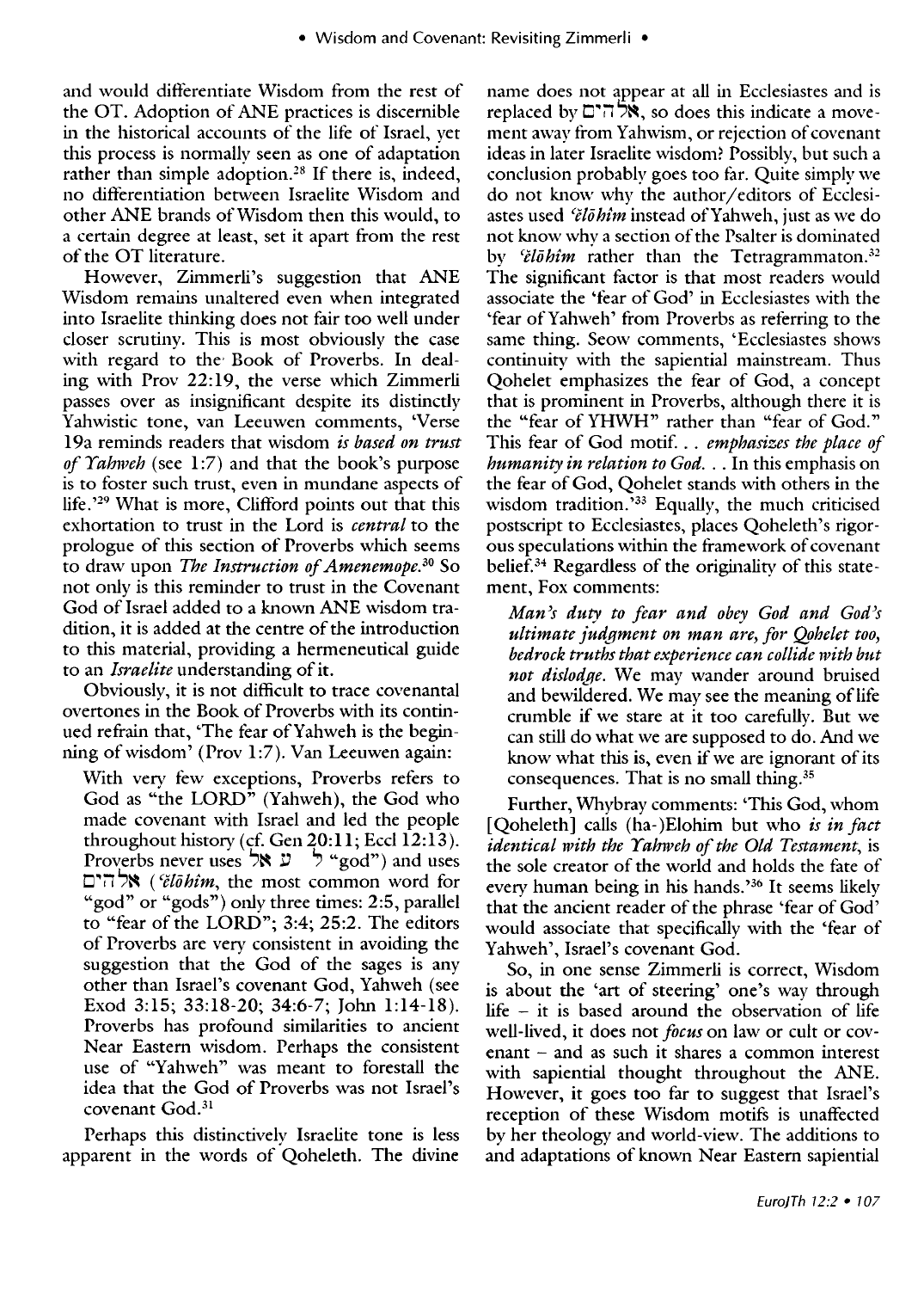and would differentiate Wisdom from the rest of the OT. Adoption of ANE practices is discernible in the historical accounts of the life of Israel, yet this process is normally seen as one of adaptation rather than simple adoption.<sup>28</sup> If there is, indeed, no differentiation between Israelite Wisdom and other ANE brands of Wisdom then this would, to a certain degree at least, set it apart from the rest of the OT literature.

However, Zimmerli's suggestion that ANE Wisdom remains unaltered even when integrated into Israelite thinking does not fair too well under closer scrutiny. This is most obviously the case with regard to the' Book of Proverbs. In dealing with Prov 22:19, the verse which Zimmerli passes over as insignificant despite its distinctly Yahwistic tone, van Leeuwen comments, 'Verse 19a reminds readers that wisdom *is based on trust of Yahweh* (see 1:7) and that the book's purpose is to foster such trust, even in mundane aspects of life. '29 What is more, Clifford points out that this exhortation to trust in the Lord is *central* to the prologue of this section of Proverbs which seems to draw upon *The Instruction of Amenemope.30* So not only is this reminder to trust in the Covenant God of Israel added to a known ANE wisdom tradition, it is added at the centre of the introduction to this material, providing a hermeneutical guide to an *Israelite* understanding of it.

Obviously, it is not difficult to trace covenantal overtones in the Book of Proverbs with its continued refrain that, 'The fear ofYahweh is the beginning of wisdom' (Prov 1:7). Van Leeuwen again:

With very few exceptions, Proverbs refers to God as "the LORD" (Yahweh), the God who made covenant with Israel and led the people throughout history (cf. Gen  $20:11$ ; Eccl  $12:13$ ). Proverbs never uses  $\forall x \in \mathcal{A}$  "god") and uses tJ"i1"~ *(ilohim,* the most common word for "god" or "gods") only three times: 2:5, parallel to "fear of the LORD"; 3:4; 25:2. The editors of Proverbs are very consistent in avoiding the suggestion that the God of the sages is any other than Israel's covenant God, Yahweh (see Exod 3:15; 33:18-20; 34:6-7; John 1:14-18). Proverbs has profound similarities to ancient Near Eastern wisdom. Perhaps the consistent use of "Yahweh" was meant to forestall the idea that the God of Proverbs was not Israel's covenant God.<sup>31</sup>

Perhaps this distinctively Israelite tone is less apparent in the words of Qoheleth. The divine

name does not appear at all in Ecclesiastes and is replaced by  $\Xi^*\overline{n}$  , so does this indicate a movement away from Yahwism, or rejection of covenant ideas in later Israelite wisdom? Possibly, but such a conclusion probably goes too far. Quite simply we do not know why the author/editors of Ecclesiastes used *'ělō hîm* instead of Yahweh, just as we do not know why a section of the Psalter is dominated by *'ělōhîm* rather than the Tetragrammaton.<sup>32</sup> The significant factor is that most readers would associate the 'fear of God' in Ecclesiastes with the 'fear of Yahweh' from Proverbs as referring to the same thing. Seow comments, 'Ecclesiastes shows continuiry with the sapiential mainstream. Thus Qohelet emphasizes the fear of God, a concept that is prominent in Proverbs, although there it is the "fear of YHWH" rather than "fear of God. " This fear of God motif. . . *emphasizes the place of humanity in relation to God .* .. In this emphasis on the fear of God, Qohelet stands with others in the wisdom tradition.'33 Equally, the much criticised postscript to Ecclesiastes, places Qoheleth's rigorous speculations within the framework of covenant belief.34 Regardless of the originality of this statement, Fox comments:

*Man's duty to fear and obey God and God's ultimate judgment on man are, for Qohelet too, bedrock truths that experience can collide with but not dislot{qe.* We may wander around bruised and bewildered. We may see the meaning of life crumble if we stare at it too carefully. But we can still do what we are supposed to do. And we know what this is, even if we are ignorant of its consequences. That is no small thing.35

Further, Whybray comments: 'This God, whom [Qoheleth] calls (ha-) Elohim but who *is in fact identical with the Yahweh of the Old Testament,* is the sole creator of the world and holds the fate of every human being in his hands.<sup>36</sup> It seems likely that the ancient reader of the phrase 'fear of God' would associate that specifically with the 'fear of Yahweh', Israel's covenant God.

So, in one sense Zimmerli is correct, Wisdom is about the 'art of steering' one's way through life  $-$  it is based around the observation of life well-lived, it does not *focus* on law or cult or cov $e$ nant  $-$  and as such it shares a common interest with sapiential thought throughout the ANE. However, it goes too far to suggest that Israel's reception of these Wisdom motifs is unaffected by her theology and world-view. The additions to and adaptations of known Near Eastern sapiential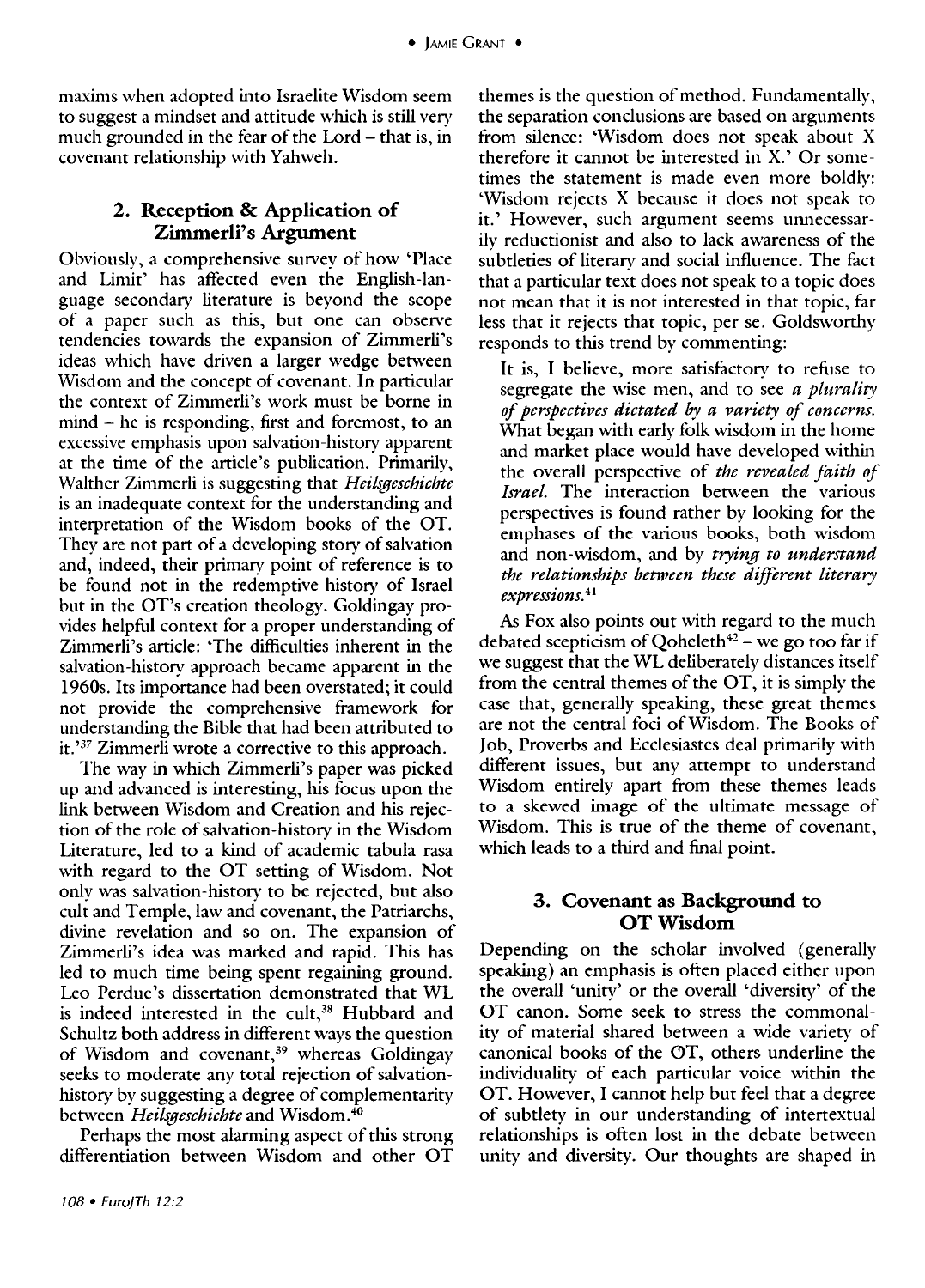maxims when adopted into Israelite Wisdom seem to suggest a mindset and attitude which is still very much grounded in the fear of the Lord – that is, in covenant relationship with Yahweh.

## 2. Reception & Application of Zimmerli's Argument

Obviously, a comprehensive survey of how 'Place and Limit' has affected even the English-language secondary literature is beyond the scope of a paper such as this, but one can observe tendencies towards the expansion of Zimmerli's ideas which have driven a larger wedge between Wisdom and the concept of covenant. In particular the context of Zimmerli's work must be borne in mind - he is responding, first and foremost, to an excessive emphasis upon salvation-history apparent at the time of the article's publication. Primarily, Walther Zimmerli is suggesting that *Heilsgeschichte*  is an inadequate context for the understanding and interpretation of the Wisdom books of the OT. They are not part of a developing story of salvation and, indeed, their primary point of reference is to be found not in the redemptive-history of Israel but in the OT's creation theology. Goldingay provides helpful context for a proper understanding of Zimmerli's article: 'The difficulties inherent in the salvation-history approach became apparent in the 1960s. Its importance had been overstated; it could not provide the comprehensive framework for understanding the Bible that had been attributed to it. '37 Zimmerli wrote a corrective to this approach.

The way in which Zimmerli's paper was picked up and advanced is interesting, his focus upon the link between Wisdom and Creation and his rejection of the role of salvation-history in the Wisdom Literature, led to a kind of academic tabula rasa with regard to the OT setting of Wisdom. Not only was salvation-history to be rejected, but also cult and Temple, law and covenant, the Patriarchs, divine revelation and so on. The expansion of Zimmerli's idea was marked and rapid. This has led to much time being spent regaining ground. Leo Perdue's dissertation demonstrated that WL is indeed interested in the cult,<sup>38</sup> Hubbard and Schultz both address in different ways the question of Wisdom and covenant,<sup>39</sup> whereas Goldingay seeks to moderate any total rejection of salvationhistory by suggesting a degree of complementarity between *Heilsgeschichte* and Wisdom.<sup>40</sup>

Perhaps the most alarming aspect of this strong differentiation between Wisdom and other OT

themes is the question of method. Fundamentally, the separation conclusions are based on arguments from silence: 'Wisdom does not speak about X therefore it cannot be interested in X.' Or sometimes the statement is made even more boldly: 'Wisdom rejects X because it does not speak to it.' However, such argument seems unnecessarily reductionist and also to lack awareness of the subtleties of literary and social influence. The fact that a particular text does not speak to a topic does not mean that it is not interested in that topic, far less that it rejects that topic, per se. Goldsworthy responds to this trend by commenting:

It is, I believe, more satisfactory to refuse to segregate the wise men, and to see *a plurality of perspectives dictated by a variety of concerns.*  What began with early folk wisdom in the home and market place would have developed within the overall perspective of *the revealed faith of Israel.* The interaction between the various perspectives is found rather by looking for the emphases of the various books, both wisdom and non-wisdom, and by *trying to understand the relationships between these different literary expressions.* <sup>41</sup>

As Fox also points out with regard to the much debated scepticism of Qoheleth $42$  – we go too far if we suggest that the WL deliberately distances itself from the central themes of the OT, it is simply the case that, generally speaking, these great themes are not the central foci of Wisdom. The Books of Job, Proverbs and Ecclesiastes deal primarily with different issues, but any attempt to understand Wisdom entirely apart from these themes leads to a skewed image of the ultimate message of Wisdom. This is true of the theme of covenant, which leads to a third and final point.

### 3. Covenant as Background to OT Wisdom

Depending on the scholar involved (generally speaking) an emphasis is often placed either upon the overall 'unity' or the overall 'diversity' of the OT canon. Some seek to stress the commonality of material shared between a wide variety of canonical books of the OT, others underline the individuality of each particular voice within the OT. However, I cannot help but feel that a degree of subtlety in our understanding of intertextual relationships is often lost in the debate between unity and diversity. Our thoughts are shaped in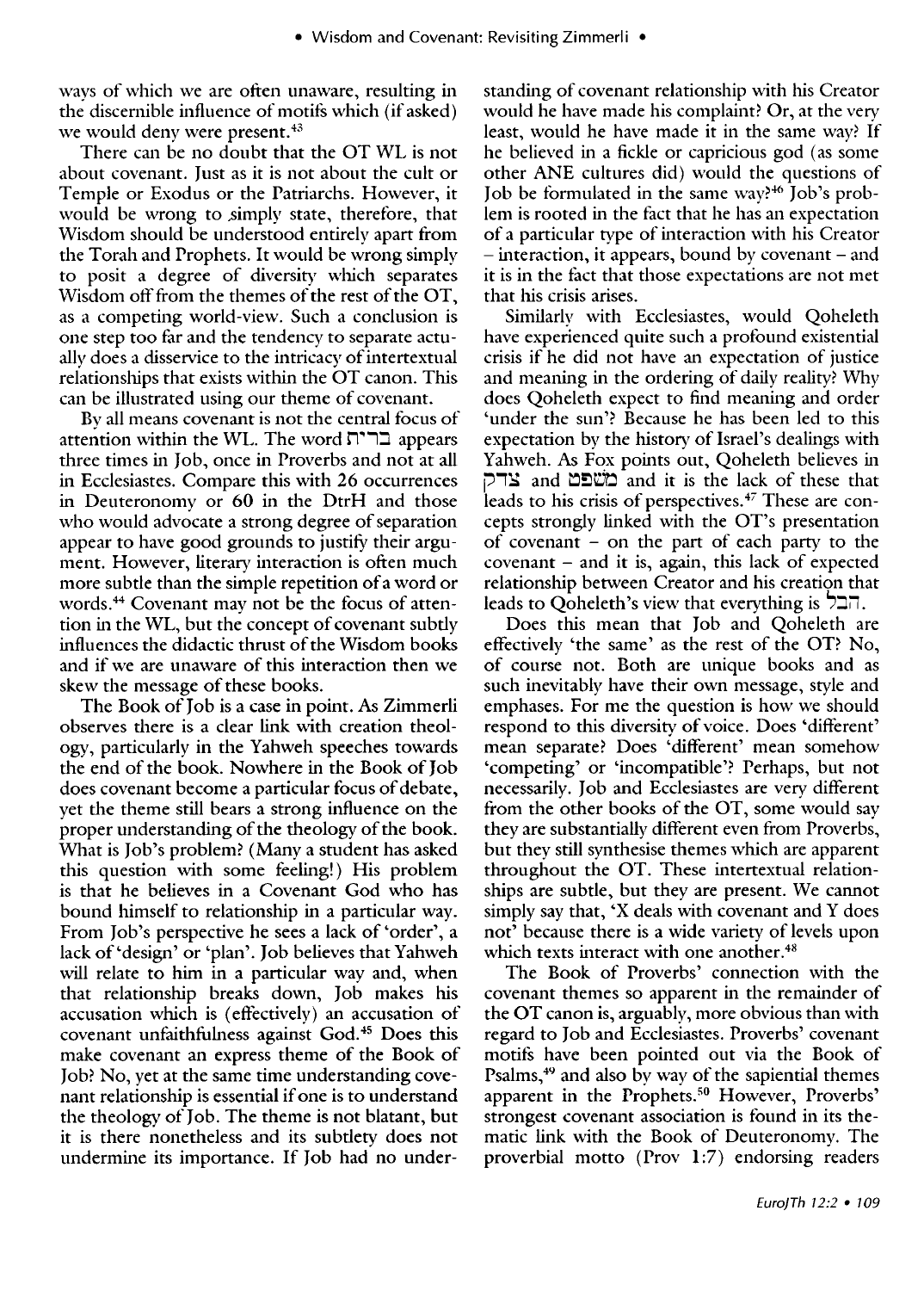ways of which we are often unaware, resulting in the discernible influence of motifs which (if asked) we would deny were present.<sup>43</sup>

There can be no doubt that the OT WL is not about covenant. Just as it is not about the cult or Temple or Exodus or the Patriarchs. However, it would be wrong to simply state, therefore, that Wisdom should be understood entirely apart from the Torah and Prophets. It would be wrong simply to posit a degree of diversity which separates Wisdom off from the themes of the rest of the OT, as a competing world-view. Such a conclusion is one step too far and the tendency to separate actually does a disservice to the intricacy of intertextual relationships that exists within the OT canon. This can be illustrated using our theme of covenant.

Bv all means covenant is not the central focus of attention within the WL. The word ברית three times in Job, once in Proverbs and not at all in Ecclesiastes. Compare this with 26 occurrences in Deuteronomy or 60 in the DtrH and those who would advocate a strong degree of separation appear to have good grounds to justify their argument. However, literary interaction is often much more subtle than the simple repetition of a word or words. 44 Covenant may not be the focus of attention in the WL, but the concept of covenant subtly influences the didactic thrust of the Wisdom books and if we are unaware of this interaction then we skew the message of these books.

The Book of Job is a case in point. As Zimmerli observes there is a clear link with creation theology, particularly in the Yahweh speeches towards the end of the book. Nowhere in the Book of Job does covenant become a particular focus of debate, yet the theme still bears a strong influence on the proper understanding of the theology of the book. What is Job's problem? (Many a student has asked this question with some feeling!) His problem is that he believes in a Covenant God who has bound himself to relationship in a particular way. From Job's perspective he sees a lack of 'order', a lack of 'design' or 'plan'. Job believes that Yahweh will relate to him in a particular way and, when that relationship breaks down, Job makes his accusation which is (effectively) an accusation of covenant unfaithfulness against God.45 Does this make covenant an express theme of the Book of Job? No, yet at the same time understanding covenant relationship is essential if one is to understand the theology of Job. The theme is not blatant, but it is there nonetheless and its subtlety does not undermine its importance. If Job had no understanding of covenant relationship with his Creator would he have made his complaint? Or, at the very least, would he have made it in the same way? If he believed in a fickle or capricious god (as some other ANE cultures did) would the questions of Job be formulated in the same way?<sup>46</sup> Job's problem is rooted in the fact that he has an expectation of a particular type of interaction with his Creator - interaction, it appears, bound by covenant - and it is in the fact that those expectations are not met that his crisis arises.

Similarly with Ecclesiastes, would Qoheleth have experienced quite such a profound existential crisis if he did not have an expectation of justice and meaning in the ordering of daily reality? Why does Qoheleth expect to find meaning and order 'under the sun'? Because he has been led to this expectation by the history of Israel's dealings with Yahweh. As Fox points out, Qoheleth believes in  $\sum_{i=1}^{\infty}$  and  $\sum_{i=1}^{\infty}$  and it is the lack of these that leads to his crisis of perspectives.<sup>47</sup> These are concepts strongly linked with the OT's presentation of covenant - on the part of each party to the  $covenant - and it is, again, this lack of expected$ relationship between Creator and his creation that leads to Ooheleth's view that everything is  $\Box \Box$ .

Does this mean that Job and Qoheleth are effectively 'the same' as the rest of the OT? No, of course not. Both are unique books and as such inevitably have their own message, style and emphases. For me the question is how we should respond to this diversity of voice. Does 'different' mean separate? Does 'different' mean somehow 'competing' or 'incompatible'? Perhaps, but not necessarily. Job and Ecclesiastes are very different from the other books of the OT, some would say they are substantially different even from Proverbs, but they still synthesise themes which are apparent throughout the OT. These intertextual relationships are subtle, but they are present. We cannot simply say that, 'X deals with covenant and Y does not' because there is a wide variety of levels upon which texts interact with one another.<sup>48</sup>

The Book of Proverbs' connection with the covenant themes so apparent in the remainder of the OT canon is, arguably, more obvious than with regard to Job and Ecclesiastes. Proverbs' covenant motifs have been pointed out via the Book of Psalms,<sup>49</sup> and also by way of the sapiential themes apparent in the Prophets.<sup>50</sup> However, Proverbs' strongest covenant association is found in its thematic link with the Book of Deuteronomy. The proverbial motto (Prov  $1:7$ ) endorsing readers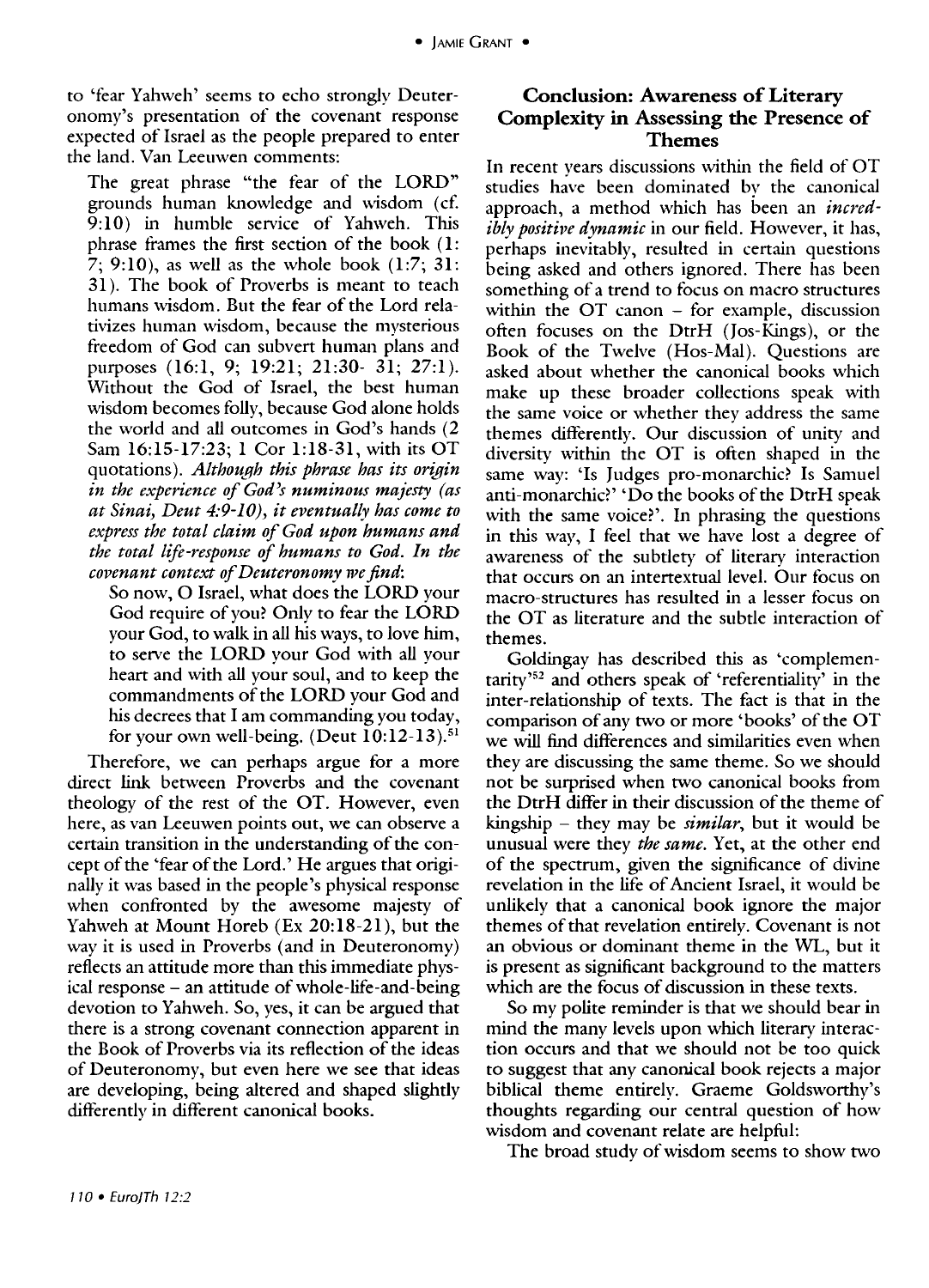to 'fear Yahweh' seems to echo strongly Deuteronomy's presentation of the covenant response expected of Israel as the people prepared to enter the land. Van Leeuwen comments:

The great phrase "the fear of the LORD" grounds human knowledge and wisdom (cf. 9:10) in humble service of Yahweh. This phrase frames the first section of the book (1: 7; 9:10), as well as the whole book (1:7; 31: 31). The book of Proverbs is meant to teach humans wisdom. But the fear of the Lord relativizes human wisdom, because the mysterious freedom of God can subvert human plans and purposes (16:1, 9; 19:21; 21:30- 31; 27:1). Without the God of Israel, the best human wisdom becomes folly, because God alone holds the world and all outcomes in God's hands (2 Sam 16:15-17:23; 1 Cor 1:18-31, with its OT quotations). *Although this phrase has its origin in the experience of God's numinous majesty (as*  at Sinai, Deut 4:9-10), it eventually has come to *express the total claim of God upon humans and the total life-response of humans to God. In the covenant context of Deuteronomy we find:* 

So now, 0 Israel, what does the LORD your God require of you? Only to fear the LORD your God, to walk in all his ways, to love him, to serve the LORD your God with all your heart and with all your soul, and to keep the commandments of the LORD your God and his decrees that I am commanding you today, for your own well-being. (Deut *10:12-13).51* 

Therefore, we can perhaps argue for a more direct link between Proverbs and the covenant theology of the rest of the OT. However, even here, as van Leeuwen points out, we can observe a certain transition in the understanding of the concept of the 'fear of the Lord.' He argues that originally it was based in the people's physical response when confronted by the awesome majesty of Yahweh at Mount Horeb (Ex 20:18-21), but the way it is used in Proverbs (and in Deuteronomy) reflects an attitude more than this immediate physical response - an attitude of whole-life-and-being devotion to Yahweh. So, yes, it can be argued that there is a strong covenant connection apparent in the Book of Proverbs via its reflection of the ideas of Deuteronomy, but even here we see that ideas are developing, being altered and shaped slightly differently in different canonical books.

## Conclusion: Awareness of Literary Complexity in Assessing the Presence of **Themes**

In recent years discussions within the field of OT studies have been dominated by the canonical approach, a method which has been an *incredibly positive dynamic* in our field. However, it has, perhaps inevitably, resulted in certain questions being asked and others ignored. There has been something of a trend to focus on macro structures within the OT canon - for example, discussion often focuses on the DtrH (Jos-Kings), or the Book of the Twelve (Hos-Mal). Questions are asked about whether the canonical books which make up these broader collections speak with the same voice or whether they address the same themes differently. Our discussion of unity and diversity within the OT is often shaped in the same way: 'Is Judges pro-monarchic? Is Samuel anti-monarchic?' 'Do the books of the DtrH speak with the same voice?'. In phrasing the questions in this way, I feel that we have lost a degree of awareness of the subtlety of literary interaction that occurs on an intertextual level. Our focus on macro-structures has resulted in a lesser focus on the OT as literature and the subtle interaction of themes.

Goldingay has described this as 'complementarity'52 and others speak of 'referentiality' in the inter-relationship of texts. The fact is that in the comparison of any two or more 'books' of the OT we will find differences and similarities even when they are discussing the same theme. So we should not be surprised when two canonical books from the DtrH differ in their discussion of the theme of kingship - they may be *similar,* but it would be unusual were they *the same.* Yet, at the other end of the spectrum, given the significance of divine revelation in the life of Ancient Israel, it would be unlikely that a canonical book ignore the major themes of that revelation entirely. Covenant is not an obvious or dominant theme' in the WL, but it is present as significant background to the matters which are the focus of discussion in these texts.

So my polite reminder is that we should bear in mind the many levels upon which literary interaction occurs and that we should not be too quick to suggest that any canonical book rejects a major biblical theme entirely. Graeme Goldsworthy's thoughts regarding our central question of how wisdom and covenant relate are helpful:

The broad study of wisdom seems to show two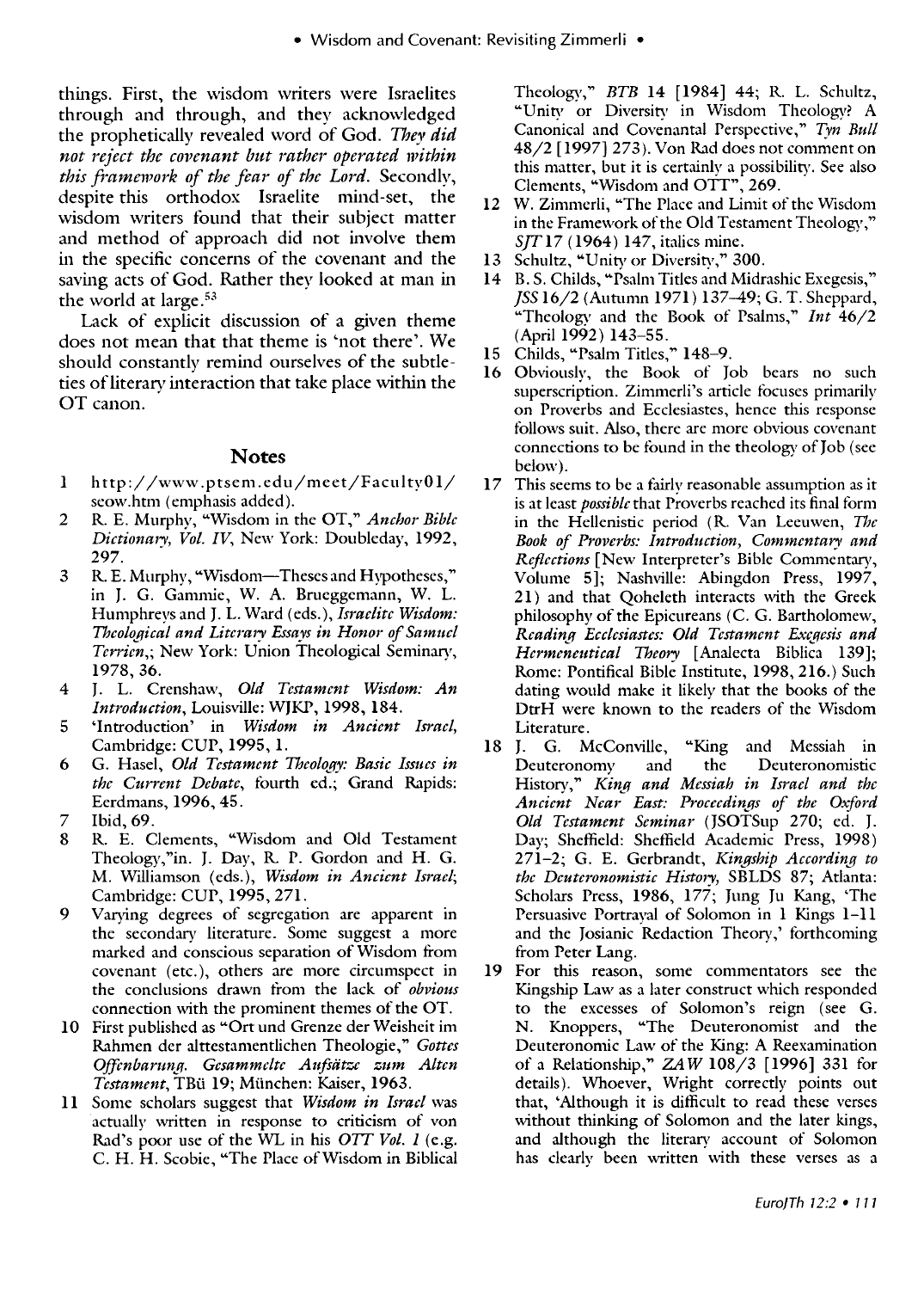things. First, the wisdom writers were Israelites through and through, and they acknowledged the prophetically revealed word of God. *They did not reject the covenant but rather operated within*  this framework of the fear of the Lord. Secondly, despite this orthodox Israelite mind-set, the wisdom writers found that their subject matter and method of approach did not involve them in the specific concerns of the covenant and the saving acts of God. Rather they looked at man in the world at large. <sup>53</sup>

Lack of explicit discussion of a given theme does not mean that that theme is 'not there'. We should constantly remind ourselves of the subtleties of literary interaction that take place within the OT canon.

#### **Notes**

- 1 http://www.ptsem.edu/meet/FacultyOl/ seow.htm (emphasis added).
- 2 R. E. Murphy, "Wisdom in the OT," *Anchor Bible Dictionary, Vol. IV,* New York: Doubleday, 1992, 297.
- 3 R. E. Murphy, "Wisdom-Theses and Hypotheses," in J. G. Gammie, W. A. Brueggemann, W. L. Humphreys and J. L. Ward (eds.), *Israelite Wisdom: Theological and Literary Essays in Honor of Samuel Terrien,; New York: Union Theological Seminary,* 1978,36.
- 4 J. L. Crenshaw, *Old Testament Wisdom: An Introduction,* Louisville: WJKP, 1998, 184.
- 5 'Introduction' in *Wisdom in Ancient Israel,*  Cambridge: CUP, 1995, l.
- 6 G. Hasel, *Old Testament Theology: Basic Issues in the Current Debate,* fourth ed.; Grand Rapids: Eerdmans, 1996, 45.
- 7 Ibid,69.
- 8 R. E. Clements, "Wisdom and Old Testament Theology,"in. 1. Day, R. P. Gordon and H. G. M. Williamson (eds.), *Wisdom in Ancient Israel;*  Cambridge: CUP, 1995, 27l.
- 9 Varying degrees of segregation are apparent in the secondary literature. Some suggest a more marked and conscious separation of Wisdom from covenant (etc.), others are more circumspect in the conclusions drawn from the lack of *obvious*  connection with the prominent themes of the OT.
- 10 First published as "Ort und Grenze der Weisheit im Rahmen der alttestamentlichen Theologie," *Gottes OfJcnbarttnJf. Gesammclte Aufoam zum Alten*  Testament, TBü 19; München: Kaiser, 1963.
- 11 Some scholars suggest that *Wisdom in Israel* was actually written in response to criticism of von Rad's poor use of the WL in his *OTT Vol. 1* (e.g. C. H. H. Scobie, "The Place of Wisdom in Biblical

Theology," *BTB* 14 [1984] 44; R. L. Schultz, "Unity or Diversity in Wisdom Theology? A Canonical and Covenantal Perspective," *Tyn Bull*  48/2 [1997] 273). Von Rad does not comment on this matter, but it is certainly a possibility. See also Clements, "Wisdom and OTT", 269.

- 12 W. Zimmerli, "The Place and Limit of the Wisdom in the Framework of the Old Testament Theology," *SJT17* (1964) 147, italics mine.
- 13 Schultz, "Unity or Diversity," 300.
- 14 B. S. Childs, "Psalm Titles and Midrashic Exegesis," *JSS* 16/2 (Autumn 1971) 137-49; G. T. Sheppard, "Theology and the Book of Psalms," *Int 46/2*  (April 1992) 143-55.
- 15 Childs, "Psalm Titles," 148-9.
- 16 Obviously, the Book of Job bears no such superscription. Zimmerli's article focuses primarily on Proverbs and Ecclesiastes, hence this response tollows suit. Also, there are more obvious covenant connections to be found in the theology of Job (see below).
- 17 This seems to be a fairly reasonable assumption as it is at least *possible* that Proverbs reached its final torm in the Hellenistic period (R. Van Leeuwen, *The*  Book of Proverbs: Introduction, Commentary and *Reflections* [New Interpreter's Bible Commentary, Volume 5]; Nashville: Abingdon Press, 1997, 21) and that Qoheleth interacts with the Greek philosophy of the Epicureans (C. G. Bartholomew, *Reading Ecclesiastes: Old Testament Exegesis and Hermencutical Theory* [Analecta Biblica 139]; Rome: Pontifical Bible Institute, 1998, 216.) Such dating would make it likely that the books of the DtrH were known to the readers of the Wisdom Literature.<br>18 J. G. McConville,
- "King and Messiah in Deuteronomy and the Deuteronomistic History," *King and Messiah in Israel and the* Ancient Near East: Proceedings of the Oxford Old Testament Seminar (JSOTSup 270; ed. J. Day; Sheffield: Sheffield Academic Press, 1998) 271-2; G. E. Gerbrandt, *Kingship According to the Deuteronomistic History, SBLDS 87; Atlanta:* Scholars Press, 1986, 177; Jung Ju Kang, 'The Persuasive Portrayal of Solomon in 1 Kings 1-11 and the Josianic Redaction Theory,' forthcoming from Peter Lang.
- 19 For this reason, some commentators see the Kingship Law as a later construct which responded to the excesses of Solomon's reign (see G. N. Knoppers, "The Deuteronomist and the Deuteronomic Law of the King: A Reexamination of a Relationship," *ZAW* 108/3 [1996] 331 tor details). Whoever, Wright correctly points out that, 'Although it is difficult to read these verses without thinking of Solomon and the later kings, and although the literary account of Solomon has clearly been written with these verses as a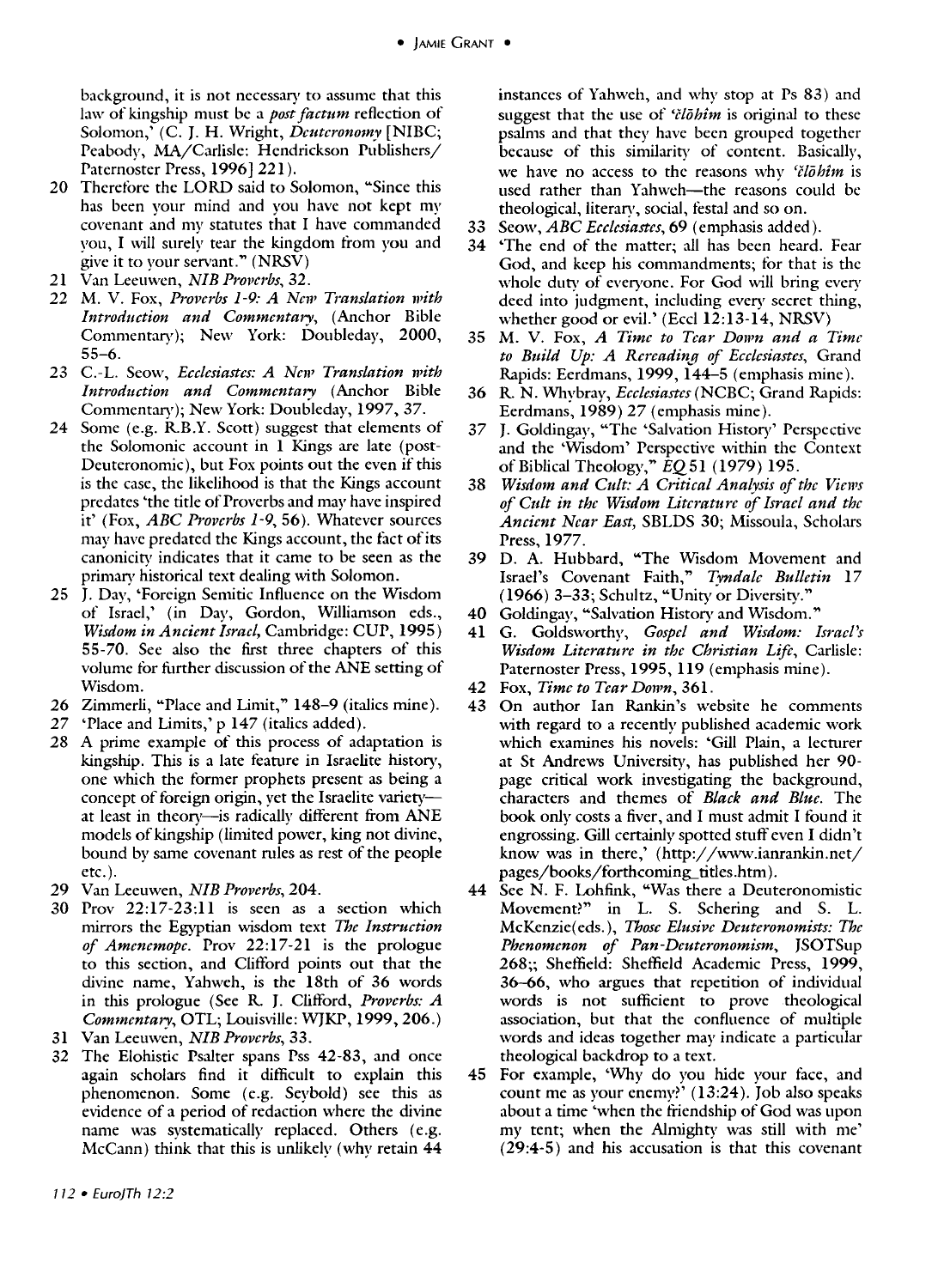background, it is not necessary to assume that this law of kingship must be a *post factum* reflection of Solomon,' (C. J. H. Wright, *Deuteronomy* [NIBC; Peabody, MA/Carlisle: Hendrickson Publishers/ Paternoster Press, 1996] 221).

- 20 Therefore the LORD said to Solomon, "Since this has been your mind and you have not kept my covenant and nw statutes that I have commanded you. I will surely tear the kingdom from you and give it to your servant." (NRSV)
- 21 Van Leeuwen, *NIB Proverbs, 32.*
- 22 M. V. Fox, *Proverbs* 1-9: *A New Translation with Introduction and Commentary,* (Anchor Bible Commentary); New York: Doubleday, 2000, 55-6.
- 23 c.-L. Seow, *Eeclesiastes: A New Translation n'ith Introduction and Commentary* (Anchor Bible Commentary); New York: Doubleday, 1997, 37.
- 24 Some (e.g. RB.Y. Scott) suggest that elements of the Solomonic account in 1 Kings are late (post-Deuteronomic), but Fox points out the even if this is the case, the likelihood is that the Kings account predates 'the title of Proverbs and may have inspired it' (Fox, *ABC Proverbs* 1-9, 56). Whatever sources may have predated the Kings account, the tact of its canonicitv indicates that it came to be seen as the primary historical text dealing with Solomon.
- 25 J. Day, 'Foreign Semitic Influence on the Wisdom of Israel,' (in Day, Gordon, WiIliamson eds., *Wisdom in Ancient Israel,* Cambridge: CUP, 1995) 55-70. See also the first three chapters of this volume for further discussion of the ANE setting of Wisdom.
- 26 Zimmerli, "Place and Limit," 148-9 (italics mine).
- 27 'Place and Limits,' p 147 (italics added).
- 28 A prime example of this process of adaptation is kingship. This is a late feature in Israelite history, one which the former prophets present as being a concept of foreign origin, yet the Israelite varietyat least in theory-is radically different from ANE models of kingship (limited power, king not divine, bound by same covenant rules as rest of the people etc.).
- 29 Van Leeuwen, *NIB Proverbs, 204.*
- 30 Prov 22:17-23:11 is seen as a section which mirrors the Egyptian wisdom text *The Instruction of Amencmope.* Prov 22:17-21 is the prologue to this section, and Clifford points out that the divine name, Yahweh, is the 18th of 36 words in this prologue (See R J. Clifford, *Proverbs: A Commentary,* OTL; Louisville: WJKP, 1999,206.)
- 31 Van Leeuwen, *NIB Proverbs*, 33.
- 32 The Elohistic Psalter spans Pss 42-83, and once again scholars find it difficult to explain this phenomenon. Some (e.g. Seybold) see this as evidence of a period of redaction where the divine name was systematically replaced. Others (e.g. McCann) think that this is unlikely (why retain 44

instances of Yahweh, and why stop at Ps 83) and suggest that the use of *'člōhim* is original to these psalms and that they have been grouped together because of this similarity of content. Basically, we have no access to the reasons why *'C/ohim* is used rather than Yahweh-the reasons could be theological, literary, social, testal and so on.

- 33 Seow, *ABC Eeelesiastes,* 69 (emphasis added).
- 'The end of the matter; all has been heard. Fear God, and keep his commandments; for that is the whole duty of everyone. For God will bring every deed into judgment, including every secret thing, whether good or evil.' (Eccl  $12:13-14$ , NRSV)
- 35 M. V. Fox, *A Time to Tear Down and a Time*  to Build Up: A Rereading of Ecclesiastes, Grand Rapids: Eerdmans, 1999, 144-5 (emphasis mine).
- 36 R. N. Whybray, *Ecelesiastes(NCBC;* Grand Rapids: Eerdmans, 1989) 27 (emphasis mine).
- 37 J. Goldingay, "The 'Salvation History' Perspective and the 'Wisdom' Perspective within the Context of Biblical Theology," *EQ51* (1979) 195.
- 38 Wisdom and Cult: A Critical Analysis of the Views *of Cult in the Wisdom Literature of Israel and the Ancient Near East,* SBLDS 30; Missoula, Scholars Press, 1977.
- 39 D. A. Hubbard, "The Wisdom Movement and Israel's Covenant Faith," *Tyndale Bulletin 17*  (1966) 3-33; Schultz, "Unity or Diversity."
- 40 Goldingay, "Salvation History and Wisdom."
- 41 G. Goldsworthy, *Gospel and Wisdom: Israel's Wisdom Literature in the Christian Lift,* Carlisle: Paternoster Press, 1995, 119 (emphasis mine).
- 42 Fox, *Time to Tear Down, 361.*
- 43 On author Ian Rankin's website he comments with regard to a recently published academic work which examines his novels: 'Gill Plain, a lecturer at St Andrews University, has published her 90 page critical work investigating the background, characters and themes of *Blaek and Blue.* The book only costs a fiver, and I must admit I found it engrossing. Gill certainly spotted stuff even I didn't know was in there,' (http://www.ianrankin.net/ pages/books/forthcoming-titles.htm).
- 44 See N. F. Lohfink, "Was there a Deuteronomistic Movement?" in L. S. Schering and S. L. McKenzie( eds.), *Those Elusive Deuteronomists: The Phenomenon of Pan-Deuteronomism,* JSOTSup 268;; Sheffield: Sheffield Academic Press, 1999, 36-66, who argues that repetition of individual words is not sufficient to prove theological association, but that the confluence of multiple words and ideas together may indicate a particular theological backdrop to a text.
- 45 For example, 'Why do you hide your face, and count me as your enemy?' (13:24). Job also speaks about a time 'when the friendship of God was upon my tent; when the Almighty was still with me' (29:4-5) and his accusation is that this covenant